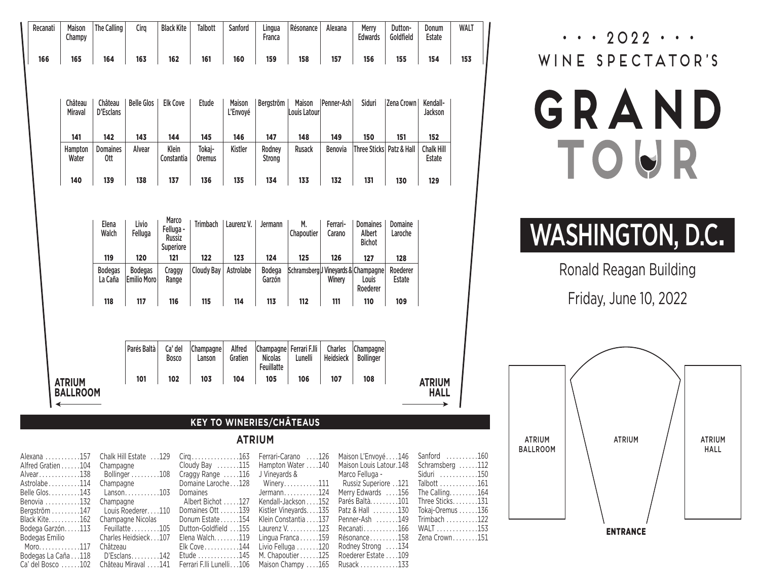| Recanati | <b>Maison</b><br>Champy | The Calling                        | Cira                                 | <b>Black Kite</b>       | <b>Talbott</b>          | Sanford            | Lingua<br>Franca                                        | Résonance                           | Alexana              | Merry<br><b>Edwards</b>       | Dutton-<br>Goldfield | Donum<br>Estate             | <b>WALT</b> |
|----------|-------------------------|------------------------------------|--------------------------------------|-------------------------|-------------------------|--------------------|---------------------------------------------------------|-------------------------------------|----------------------|-------------------------------|----------------------|-----------------------------|-------------|
| 166      | 165                     | 164                                | 163                                  | 162                     | 161                     | 160                | 159                                                     | 158                                 | 157                  | 156                           | 155                  | 154                         |             |
|          |                         |                                    |                                      |                         |                         |                    |                                                         |                                     |                      |                               |                      |                             |             |
|          | Château<br>Miraval      | Château<br>D'Esclans               | <b>Belle Glos</b>                    | <b>Elk Cove</b>         | <b>Etude</b>            | Maison<br>L'Envoyé | Bergström                                               | Maison<br><b>Louis Latour</b>       | Penner-Ash           | Siduri                        | Zena Crown           | Kendall-<br>Jackson         |             |
|          | 141                     | 142                                | 143                                  | 144                     | 145                     | 146                | 147                                                     | 148                                 | 149                  | 150                           | 151                  | 152                         |             |
|          | Hampton<br>Water        | <b>Domaines</b><br>0 <sub>tt</sub> | Alvear                               | Klein<br>Constantia     | Tokaj-<br><b>Oremus</b> | <b>Kistler</b>     | Rodney<br><b>Strong</b>                                 | <b>Rusack</b>                       | <b>Benovia</b>       | Three Sticks   Patz & Hall    |                      | <b>Chalk Hill</b><br>Estate |             |
|          | 140                     | 139                                | 138                                  | 137                     | 136                     | 135                | 134                                                     | 133                                 | 132                  | 131                           | 130                  | 129                         |             |
|          |                         |                                    |                                      | Russiz<br>Superiore     |                         |                    |                                                         |                                     |                      | <b>Bichot</b>                 |                      |                             |             |
|          |                         | Walch                              | Felluga                              | Felluga -               |                         |                    |                                                         | Chapoutier                          | Carano               | Albert                        | Laroche              |                             |             |
|          |                         | 119                                | 120                                  | 121                     | 122                     | 123                | 124                                                     | 125                                 | 126                  | 127                           | 128                  |                             |             |
|          |                         | <b>Bodegas</b><br>La Caña          | <b>Bodegas</b><br><b>Emilio Moro</b> | Craggy<br>Range         | <b>Cloudy Bay</b>       | Astrolabe          | <b>Bodega</b><br>Garzón                                 | Schramsberg J Vineyards & Champagne | Winery               | Louis<br>Roederer             | Roederer<br>Estate   |                             |             |
|          |                         | 118                                | 117                                  | 116                     | 115                     | 114                | 113                                                     | 112                                 | 111                  | 110                           | 109                  |                             |             |
|          |                         |                                    |                                      |                         |                         |                    |                                                         |                                     |                      |                               |                      |                             |             |
|          |                         |                                    | Parés Baltà                          | Ca' del<br><b>Bosco</b> | Champagne<br>Lanson     | Alfred<br>Gratien  | Champagne Ferrari F.Ili<br><b>Nicolas</b><br>Feuillatte | Lunelli                             | Charles<br>Heidsieck | Champagne<br><b>Bollinger</b> |                      |                             |             |
|          | <b>ATRIUM</b>           |                                    | 101                                  | 102                     | 103                     | 104                | 105                                                     | 106                                 | 107                  | 108                           |                      | <b>ATRIUM</b>               |             |
|          | <b>BALLROOM</b>         |                                    |                                      |                         |                         |                    |                                                         |                                     |                      |                               |                      | <b>HALL</b>                 |             |
|          |                         |                                    |                                      |                         |                         |                    | <b>KEY TO WINERIES/CHÂTEAUS</b>                         |                                     |                      |                               |                      |                             |             |

## **ATRIUM**

|                                                                                             |                  |                                                                     | Alexana 157 Chalk Hill Estate 129 Cirg163 Ferrari-Carano 126 Maison L'Envoyé146 Sanford 160           |  |
|---------------------------------------------------------------------------------------------|------------------|---------------------------------------------------------------------|-------------------------------------------------------------------------------------------------------|--|
|                                                                                             |                  |                                                                     | Alfred Gratien 104 Champagne Cloudy Bay 115 Hampton Water 140 Maison Louis Latour.148 Schramsberg 112 |  |
|                                                                                             |                  |                                                                     | Alvear138 Bollinger108 Craggy Range 116 J Vineyards & Marco Felluga - Siduri 150                      |  |
|                                                                                             |                  |                                                                     | 161114 Champagne Domaine Laroche128 Winery111 Russiz Superiore 121 Talbott161                         |  |
| Belle Glos143 Lanson103                                                                     | <b>Domaines</b>  | Jermann. 124                                                        | Merry Edwards $\dots$ 156 The Calling $\dots$ 164                                                     |  |
|                                                                                             |                  |                                                                     | Benovia 132 Champagne Albert Bichot 127 Kendall-Jackson152 Parés Baltà101 Three Sticks131             |  |
| Bergström 147 Louis Roederer. 110                                                           | Domaines Ott 139 |                                                                     | Kistler Vineyards135 Patz & Hall 130 Tokaj-Oremus 136                                                 |  |
| Black Kite162 Champagne Nicolas                                                             |                  |                                                                     | Donum Estate154 Klein Constantia137 Penner-Ash 149 Trimbach122                                        |  |
| Bodega Garzón113 Feuillatte105                                                              |                  |                                                                     | Dutton-Goldfield 155 Laurenz V. 123 Recanati166 WALT 153                                              |  |
| Bodegas Emilio Charles Heidsieck107                                                         |                  |                                                                     | Elena Walch119 Lingua Franca159 Résonance158 Zena Crown151                                            |  |
| Moro117 Châtzeau                                                                            |                  | $E$ lk Cove $\dots \dots \dots 144$ Livio Felluga $\dots \dots 120$ | Rodney Strong 134                                                                                     |  |
| Bodegas La Caña118 D'Esclans142 Etude145 M. Chapoutier125 Roederer Estate109                |                  |                                                                     |                                                                                                       |  |
| Ca' del Bosco 102 Château Miraval 141 Ferrari F.Ili Lunelli106 Maison Champy 165 Rusack 133 |                  |                                                                     |                                                                                                       |  |

 $\cdots$  2022  $\cdots$ WINE SPECTATOR'S

## GRAND TOUR

## WASHINGTON, D.C.

Ronald Reagan Building

Friday, June 10, 2022